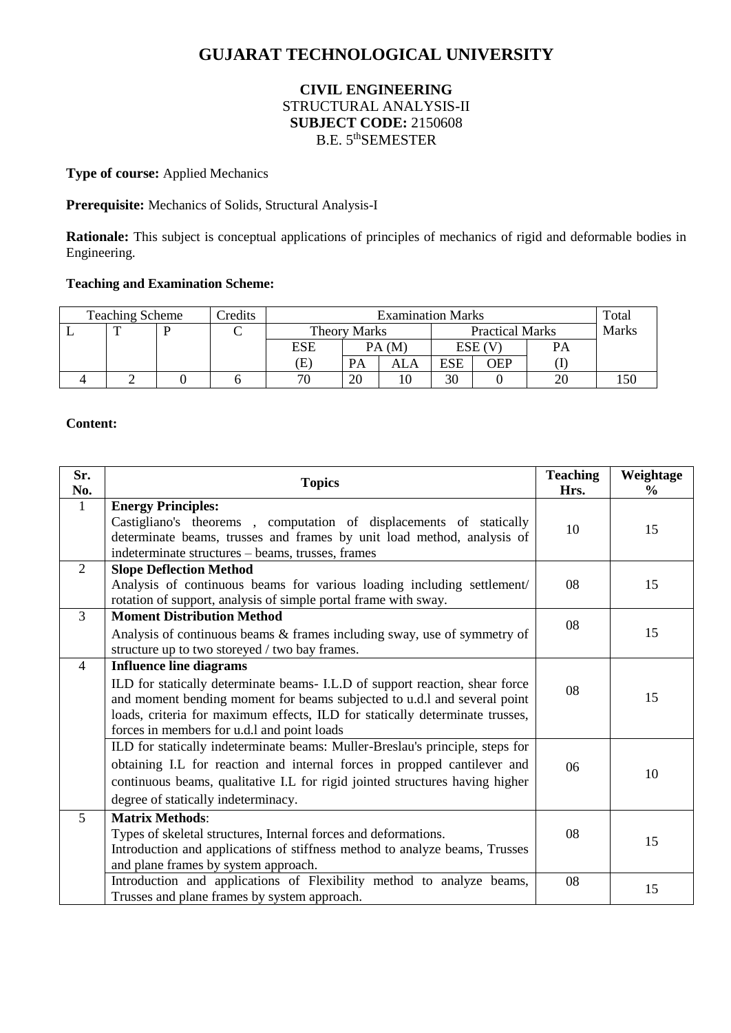# **GUJARAT TECHNOLOGICAL UNIVERSITY**

## **CIVIL ENGINEERING** STRUCTURAL ANALYSIS-II **SUBJECT CODE:** 2150608 B.E. 5<sup>th</sup>SEMESTER

## **Type of course:** Applied Mechanics

#### **Prerequisite:** Mechanics of Solids, Structural Analysis-I

**Rationale:** This subject is conceptual applications of principles of mechanics of rigid and deformable bodies in Engineering.

### **Teaching and Examination Scheme:**

| <b>Teaching Scheme</b> |   |  | Credits | <b>Examination Marks</b>   |       |                        |        |            | Total        |  |
|------------------------|---|--|---------|----------------------------|-------|------------------------|--------|------------|--------------|--|
|                        | ᅲ |  |         | Theory Marks               |       | <b>Practical Marks</b> |        |            | <b>Marks</b> |  |
|                        |   |  |         | <b>ESE</b>                 | PA(M) |                        | ESE (V |            | <b>PA</b>    |  |
|                        |   |  |         | $\left( \mathrm{E}\right)$ | PA    | ALA                    | ESE    | <b>OEP</b> |              |  |
|                        |   |  |         | 70                         | 20    | 10                     | 30     |            |              |  |

#### **Content:**

| Sr.<br>No.     | <b>Topics</b>                                                                                                                                                                                                                                                                                                             | <b>Teaching</b><br>Hrs. | Weightage<br>$\frac{6}{9}$ |
|----------------|---------------------------------------------------------------------------------------------------------------------------------------------------------------------------------------------------------------------------------------------------------------------------------------------------------------------------|-------------------------|----------------------------|
| $\mathbf{1}$   | <b>Energy Principles:</b><br>Castigliano's theorems, computation of displacements of statically<br>determinate beams, trusses and frames by unit load method, analysis of<br>indeterminate structures - beams, trusses, frames                                                                                            | 10                      | 15                         |
| 2              | <b>Slope Deflection Method</b><br>Analysis of continuous beams for various loading including settlement/<br>rotation of support, analysis of simple portal frame with sway.                                                                                                                                               | 08                      | 15                         |
| 3              | <b>Moment Distribution Method</b><br>Analysis of continuous beams & frames including sway, use of symmetry of<br>structure up to two storeyed / two bay frames.                                                                                                                                                           | 08                      | 15                         |
| $\overline{4}$ | <b>Influence line diagrams</b><br>ILD for statically determinate beams- I.L.D of support reaction, shear force<br>and moment bending moment for beams subjected to u.d.l and several point<br>loads, criteria for maximum effects, ILD for statically determinate trusses,<br>forces in members for u.d.l and point loads | 08                      | 15                         |
|                | ILD for statically indeterminate beams: Muller-Breslau's principle, steps for<br>obtaining I.L for reaction and internal forces in propped cantilever and<br>continuous beams, qualitative I.L for rigid jointed structures having higher<br>degree of statically indeterminacy.                                          | 06                      | 10                         |
| 5              | <b>Matrix Methods:</b><br>Types of skeletal structures, Internal forces and deformations.<br>Introduction and applications of stiffness method to analyze beams, Trusses<br>and plane frames by system approach.                                                                                                          | 08                      | 15                         |
|                | Introduction and applications of Flexibility method to analyze beams,<br>Trusses and plane frames by system approach.                                                                                                                                                                                                     | 08                      | 15                         |